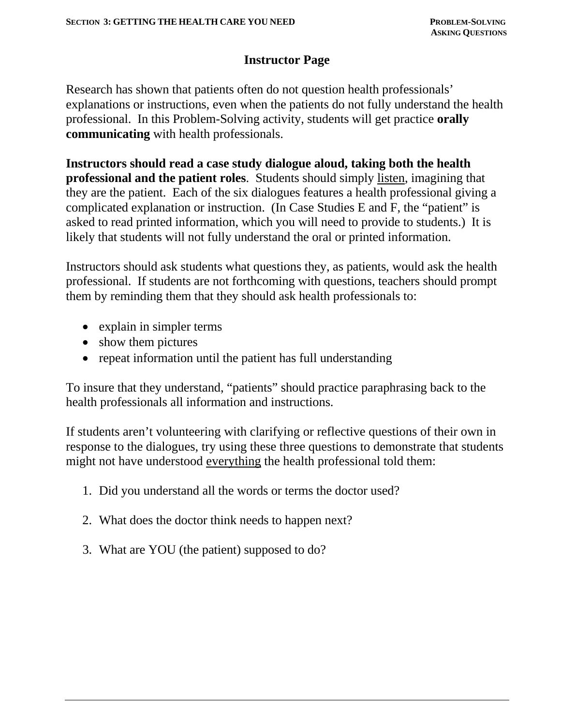## **Instructor Page**

Research has shown that patients often do not question health professionals' explanations or instructions, even when the patients do not fully understand the health professional. In this Problem-Solving activity, students will get practice **orally communicating** with health professionals.

**Instructors should read a case study dialogue aloud, taking both the health professional and the patient roles**. Students should simply listen, imagining that they are the patient. Each of the six dialogues features a health professional giving a complicated explanation or instruction. (In Case Studies E and F, the "patient" is asked to read printed information, which you will need to provide to students.) It is likely that students will not fully understand the oral or printed information.

Instructors should ask students what questions they, as patients, would ask the health professional. If students are not forthcoming with questions, teachers should prompt them by reminding them that they should ask health professionals to:

- explain in simpler terms
- show them pictures
- repeat information until the patient has full understanding

To insure that they understand, "patients" should practice paraphrasing back to the health professionals all information and instructions.

If students aren't volunteering with clarifying or reflective questions of their own in response to the dialogues, try using these three questions to demonstrate that students might not have understood everything the health professional told them:

- 1. Did you understand all the words or terms the doctor used?
- 2. What does the doctor think needs to happen next?
- 3. What are YOU (the patient) supposed to do?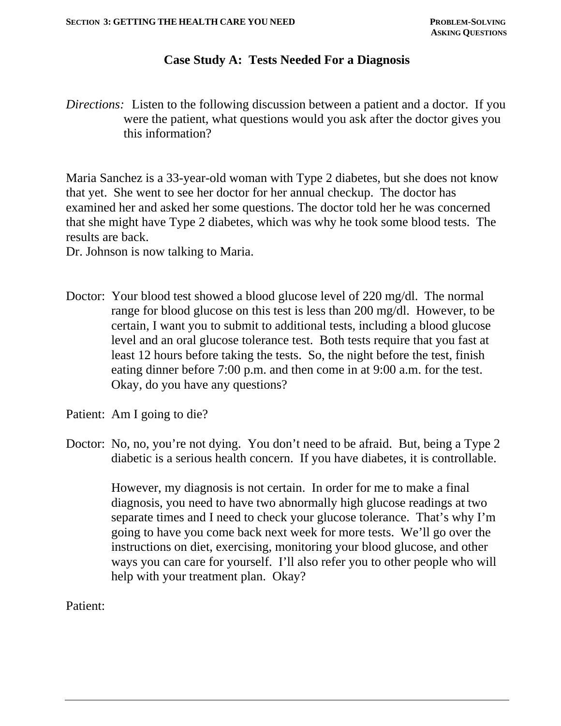#### **Case Study A: Tests Needed For a Diagnosis**

*Directions:* Listen to the following discussion between a patient and a doctor. If you were the patient, what questions would you ask after the doctor gives you this information?

Maria Sanchez is a 33-year-old woman with Type 2 diabetes, but she does not know that yet. She went to see her doctor for her annual checkup. The doctor has examined her and asked her some questions. The doctor told her he was concerned that she might have Type 2 diabetes, which was why he took some blood tests. The results are back.

Dr. Johnson is now talking to Maria.

- Doctor: Your blood test showed a blood glucose level of 220 mg/dl. The normal range for blood glucose on this test is less than 200 mg/dl. However, to be certain, I want you to submit to additional tests, including a blood glucose level and an oral glucose tolerance test. Both tests require that you fast at least 12 hours before taking the tests. So, the night before the test, finish eating dinner before 7:00 p.m. and then come in at 9:00 a.m. for the test. Okay, do you have any questions?
- Patient: Am I going to die?
- Doctor: No, no, you're not dying. You don't need to be afraid. But, being a Type 2 diabetic is a serious health concern. If you have diabetes, it is controllable.

 However, my diagnosis is not certain. In order for me to make a final diagnosis, you need to have two abnormally high glucose readings at two separate times and I need to check your glucose tolerance. That's why I'm going to have you come back next week for more tests. We'll go over the instructions on diet, exercising, monitoring your blood glucose, and other ways you can care for yourself. I'll also refer you to other people who will help with your treatment plan. Okay?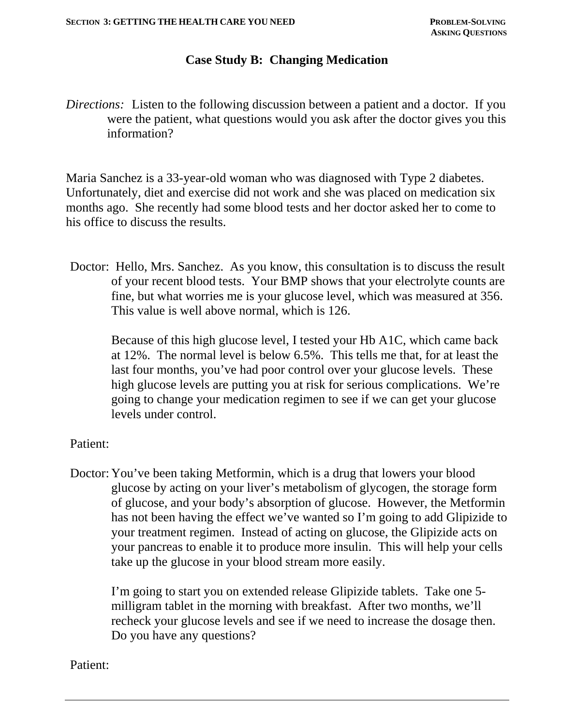#### **Case Study B: Changing Medication**

*Directions:* Listen to the following discussion between a patient and a doctor. If you were the patient, what questions would you ask after the doctor gives you this information?

Maria Sanchez is a 33-year-old woman who was diagnosed with Type 2 diabetes. Unfortunately, diet and exercise did not work and she was placed on medication six months ago. She recently had some blood tests and her doctor asked her to come to his office to discuss the results.

Doctor: Hello, Mrs. Sanchez. As you know, this consultation is to discuss the result of your recent blood tests. Your BMP shows that your electrolyte counts are fine, but what worries me is your glucose level, which was measured at 356. This value is well above normal, which is 126.

 Because of this high glucose level, I tested your Hb A1C, which came back at 12%. The normal level is below 6.5%. This tells me that, for at least the last four months, you've had poor control over your glucose levels. These high glucose levels are putting you at risk for serious complications. We're going to change your medication regimen to see if we can get your glucose levels under control.

#### Patient:

Doctor: You've been taking Metformin, which is a drug that lowers your blood glucose by acting on your liver's metabolism of glycogen, the storage form of glucose, and your body's absorption of glucose. However, the Metformin has not been having the effect we've wanted so I'm going to add Glipizide to your treatment regimen. Instead of acting on glucose, the Glipizide acts on your pancreas to enable it to produce more insulin. This will help your cells take up the glucose in your blood stream more easily.

 I'm going to start you on extended release Glipizide tablets. Take one 5 milligram tablet in the morning with breakfast. After two months, we'll recheck your glucose levels and see if we need to increase the dosage then. Do you have any questions?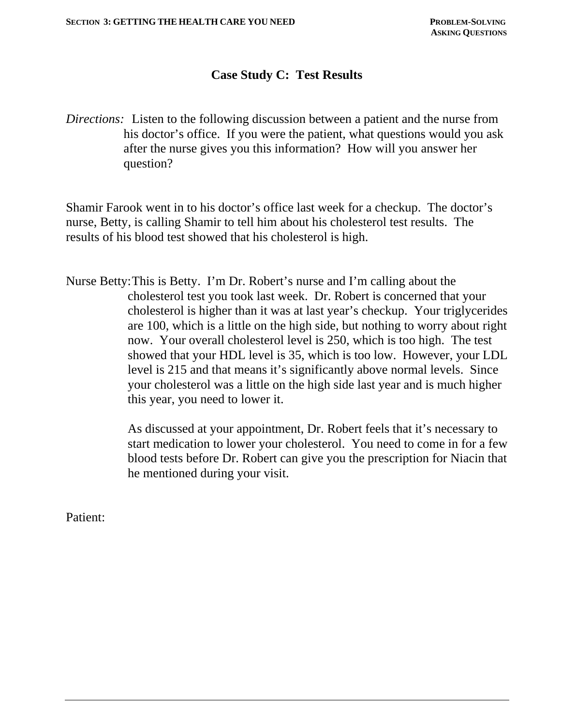# **Case Study C: Test Results**

*Directions:* Listen to the following discussion between a patient and the nurse from his doctor's office. If you were the patient, what questions would you ask after the nurse gives you this information? How will you answer her question?

Shamir Farook went in to his doctor's office last week for a checkup. The doctor's nurse, Betty, is calling Shamir to tell him about his cholesterol test results. The results of his blood test showed that his cholesterol is high.

Nurse Betty: This is Betty. I'm Dr. Robert's nurse and I'm calling about the cholesterol test you took last week. Dr. Robert is concerned that your cholesterol is higher than it was at last year's checkup. Your triglycerides are 100, which is a little on the high side, but nothing to worry about right now. Your overall cholesterol level is 250, which is too high. The test showed that your HDL level is 35, which is too low. However, your LDL level is 215 and that means it's significantly above normal levels. Since your cholesterol was a little on the high side last year and is much higher this year, you need to lower it.

> As discussed at your appointment, Dr. Robert feels that it's necessary to start medication to lower your cholesterol. You need to come in for a few blood tests before Dr. Robert can give you the prescription for Niacin that he mentioned during your visit.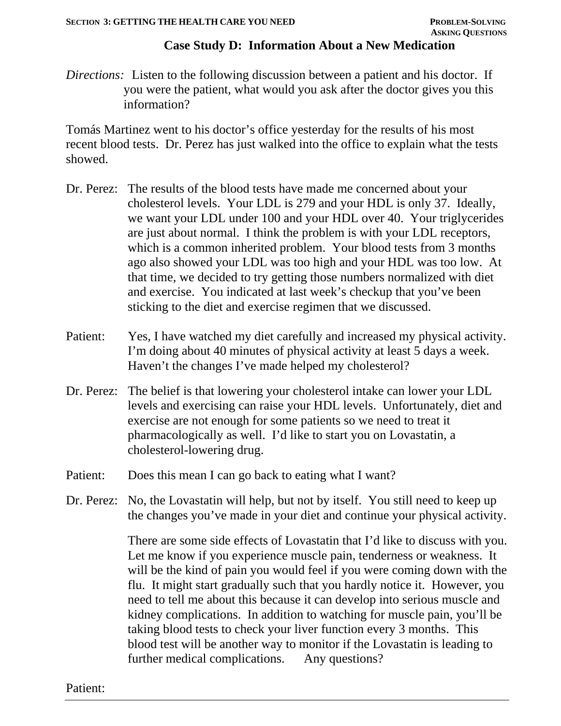### **Case Study D: Information About a New Medication**

*Directions:* Listen to the following discussion between a patient and his doctor. If you were the patient, what would you ask after the doctor gives you this information?

Tomás Martinez went to his doctor's office yesterday for the results of his most recent blood tests. Dr. Perez has just walked into the office to explain what the tests showed.

- Dr. Perez: The results of the blood tests have made me concerned about your cholesterol levels. Your LDL is 279 and your HDL is only 37. Ideally, we want your LDL under 100 and your HDL over 40. Your triglycerides are just about normal. I think the problem is with your LDL receptors, which is a common inherited problem. Your blood tests from 3 months ago also showed your LDL was too high and your HDL was too low. At that time, we decided to try getting those numbers normalized with diet and exercise. You indicated at last week's checkup that you've been sticking to the diet and exercise regimen that we discussed.
- Patient: Yes, I have watched my diet carefully and increased my physical activity. I'm doing about 40 minutes of physical activity at least 5 days a week. Haven't the changes I've made helped my cholesterol?
- Dr. Perez: The belief is that lowering your cholesterol intake can lower your LDL levels and exercising can raise your HDL levels. Unfortunately, diet and exercise are not enough for some patients so we need to treat it pharmacologically as well. I'd like to start you on Lovastatin, a cholesterol-lowering drug.
- Patient: Does this mean I can go back to eating what I want?
- Dr. Perez: No, the Lovastatin will help, but not by itself. You still need to keep up the changes you've made in your diet and continue your physical activity.

There are some side effects of Lovastatin that I'd like to discuss with you. Let me know if you experience muscle pain, tenderness or weakness. It will be the kind of pain you would feel if you were coming down with the flu. It might start gradually such that you hardly notice it. However, you need to tell me about this because it can develop into serious muscle and kidney complications. In addition to watching for muscle pain, you'll be taking blood tests to check your liver function every 3 months. This blood test will be another way to monitor if the Lovastatin is leading to further medical complications. Any questions?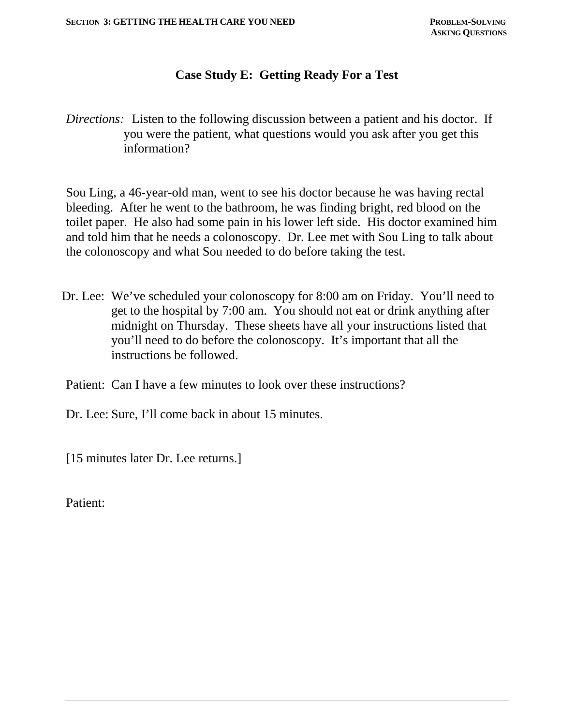### **Case Study E: Getting Ready For a Test**

*Directions:* Listen to the following discussion between a patient and his doctor. If you were the patient, what questions would you ask after you get this information?

Sou Ling, a 46-year-old man, went to see his doctor because he was having rectal bleeding. After he went to the bathroom, he was finding bright, red blood on the toilet paper. He also had some pain in his lower left side. His doctor examined him and told him that he needs a colonoscopy. Dr. Lee met with Sou Ling to talk about the colonoscopy and what Sou needed to do before taking the test.

Dr. Lee: We've scheduled your colonoscopy for 8:00 am on Friday. You'll need to get to the hospital by 7:00 am. You should not eat or drink anything after midnight on Thursday. These sheets have all your instructions listed that you'll need to do before the colonoscopy. It's important that all the instructions be followed.

Patient: Can I have a few minutes to look over these instructions?

Dr. Lee: Sure, I'll come back in about 15 minutes.

[15 minutes later Dr. Lee returns.]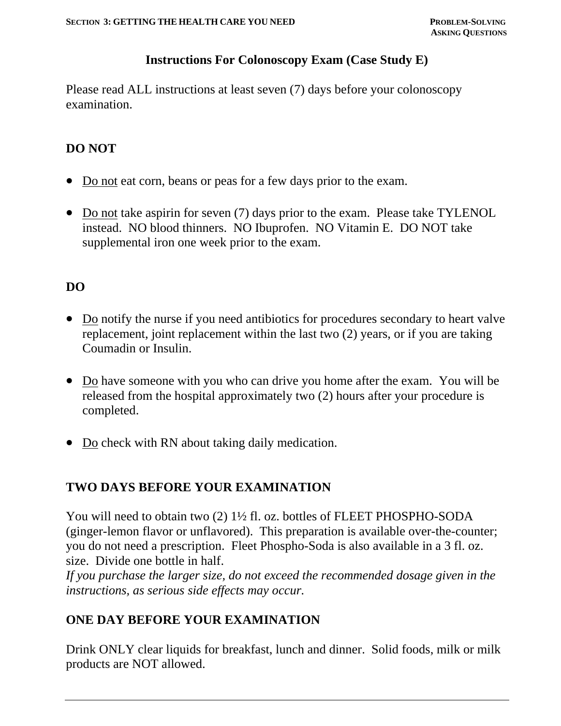#### **Instructions For Colonoscopy Exam (Case Study E)**

Please read ALL instructions at least seven (7) days before your colonoscopy examination.

# **DO NOT**

- Do not eat corn, beans or peas for a few days prior to the exam.
- Do not take aspirin for seven (7) days prior to the exam. Please take TYLENOL instead. NO blood thinners. NO Ibuprofen. NO Vitamin E. DO NOT take supplemental iron one week prior to the exam.

# **DO**

- Do notify the nurse if you need antibiotics for procedures secondary to heart valve replacement, joint replacement within the last two (2) years, or if you are taking Coumadin or Insulin.
- Do have someone with you who can drive you home after the exam. You will be released from the hospital approximately two (2) hours after your procedure is completed.
- Do check with RN about taking daily medication.

### **TWO DAYS BEFORE YOUR EXAMINATION**

You will need to obtain two (2) 1<sup>1/2</sup> fl. oz. bottles of FLEET PHOSPHO-SODA (ginger-lemon flavor or unflavored). This preparation is available over-the-counter; you do not need a prescription. Fleet Phospho-Soda is also available in a 3 fl. oz. size. Divide one bottle in half.

*If you purchase the larger size, do not exceed the recommended dosage given in the instructions, as serious side effects may occur.*

### **ONE DAY BEFORE YOUR EXAMINATION**

Drink ONLY clear liquids for breakfast, lunch and dinner. Solid foods, milk or milk products are NOT allowed.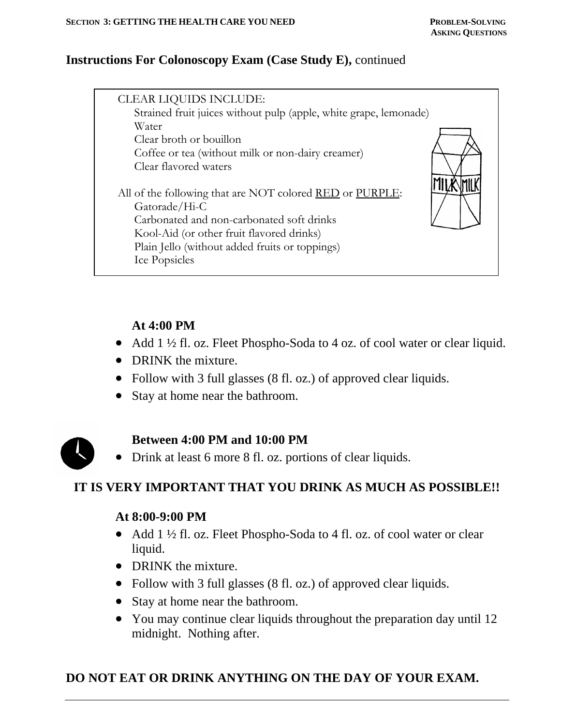## **Instructions For Colonoscopy Exam (Case Study E),** continued

| <b>CLEAR LIQUIDS INCLUDE:</b><br>Strained fruit juices without pulp (apple, white grape, lemonade)<br>Water<br>Clear broth or bouillon<br>Coffee or tea (without milk or non-dairy creamer)<br>Clear flavored waters<br>All of the following that are NOT colored RED or PURPLE:<br>Gatorade/Hi-C<br>Carbonated and non-carbonated soft drinks<br>Kool-Aid (or other fruit flavored drinks)<br>Plain Jello (without added fruits or toppings)<br>Ice Popsicles |
|----------------------------------------------------------------------------------------------------------------------------------------------------------------------------------------------------------------------------------------------------------------------------------------------------------------------------------------------------------------------------------------------------------------------------------------------------------------|
|----------------------------------------------------------------------------------------------------------------------------------------------------------------------------------------------------------------------------------------------------------------------------------------------------------------------------------------------------------------------------------------------------------------------------------------------------------------|

## **At 4:00 PM**

- Add 1 ½ fl. oz. Fleet Phospho-Soda to 4 oz. of cool water or clear liquid.
- DRINK the mixture.
- Follow with 3 full glasses (8 fl. oz.) of approved clear liquids.
- Stay at home near the bathroom.



# **Between 4:00 PM and 10:00 PM**

Drink at least 6 more 8 fl. oz. portions of clear liquids.

# **IT IS VERY IMPORTANT THAT YOU DRINK AS MUCH AS POSSIBLE!!**

### **At 8:00-9:00 PM**

- Add 1 ½ fl. oz. Fleet Phospho-Soda to 4 fl. oz. of cool water or clear liquid.
- DRINK the mixture.
- Follow with 3 full glasses (8 fl. oz.) of approved clear liquids.
- Stay at home near the bathroom.
- You may continue clear liquids throughout the preparation day until 12 midnight. Nothing after.

# **DO NOT EAT OR DRINK ANYTHING ON THE DAY OF YOUR EXAM.**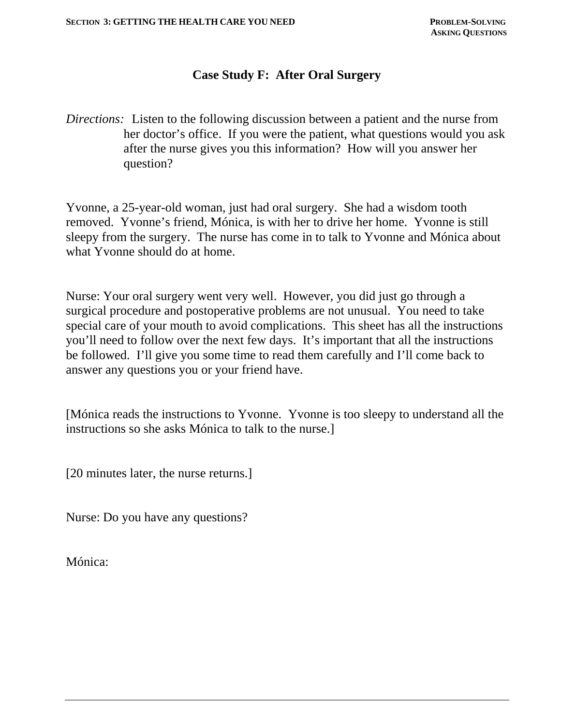### **Case Study F: After Oral Surgery**

*Directions:* Listen to the following discussion between a patient and the nurse from her doctor's office. If you were the patient, what questions would you ask after the nurse gives you this information? How will you answer her question?

Yvonne, a 25-year-old woman, just had oral surgery. She had a wisdom tooth removed. Yvonne's friend, Mónica, is with her to drive her home. Yvonne is still sleepy from the surgery. The nurse has come in to talk to Yvonne and Mónica about what Yvonne should do at home.

Nurse: Your oral surgery went very well. However, you did just go through a surgical procedure and postoperative problems are not unusual. You need to take special care of your mouth to avoid complications. This sheet has all the instructions you'll need to follow over the next few days. It's important that all the instructions be followed. I'll give you some time to read them carefully and I'll come back to answer any questions you or your friend have.

[Mónica reads the instructions to Yvonne. Yvonne is too sleepy to understand all the instructions so she asks Mónica to talk to the nurse.]

[20 minutes later, the nurse returns.]

Nurse: Do you have any questions?

Mónica: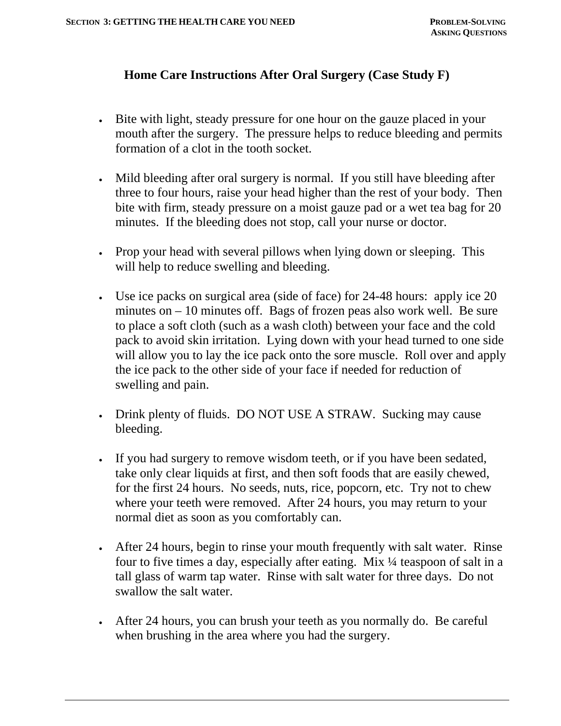## **Home Care Instructions After Oral Surgery (Case Study F)**

- Bite with light, steady pressure for one hour on the gauze placed in your mouth after the surgery. The pressure helps to reduce bleeding and permits formation of a clot in the tooth socket.
- Mild bleeding after oral surgery is normal. If you still have bleeding after three to four hours, raise your head higher than the rest of your body. Then bite with firm, steady pressure on a moist gauze pad or a wet tea bag for 20 minutes. If the bleeding does not stop, call your nurse or doctor.
- Prop your head with several pillows when lying down or sleeping. This will help to reduce swelling and bleeding.
- Use ice packs on surgical area (side of face) for 24-48 hours: apply ice 20 minutes on – 10 minutes off. Bags of frozen peas also work well. Be sure to place a soft cloth (such as a wash cloth) between your face and the cold pack to avoid skin irritation. Lying down with your head turned to one side will allow you to lay the ice pack onto the sore muscle. Roll over and apply the ice pack to the other side of your face if needed for reduction of swelling and pain.
- Drink plenty of fluids. DO NOT USE A STRAW. Sucking may cause bleeding.
- If you had surgery to remove wisdom teeth, or if you have been sedated, take only clear liquids at first, and then soft foods that are easily chewed, for the first 24 hours. No seeds, nuts, rice, popcorn, etc. Try not to chew where your teeth were removed. After 24 hours, you may return to your normal diet as soon as you comfortably can.
- After 24 hours, begin to rinse your mouth frequently with salt water. Rinse four to five times a day, especially after eating. Mix ¼ teaspoon of salt in a tall glass of warm tap water. Rinse with salt water for three days. Do not swallow the salt water.
- After 24 hours, you can brush your teeth as you normally do. Be careful when brushing in the area where you had the surgery.